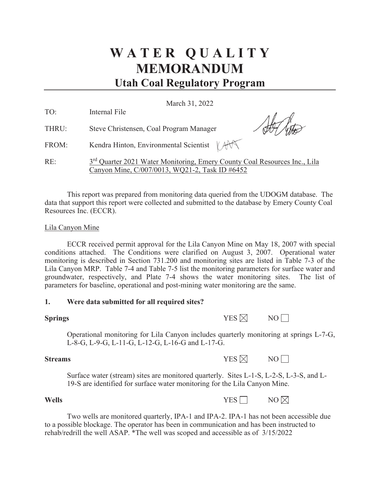# **W A T E R Q U A L I T Y MEMORANDUM Utah Coal Regulatory Program**

March 31, 2022

| TO:   | Internal File                                                                                                                           |
|-------|-----------------------------------------------------------------------------------------------------------------------------------------|
| THRU: | Steve Christensen, Coal Program Manager                                                                                                 |
| FROM: | Kendra Hinton, Environmental Scientist $\ \text{A} \mathbf{A}\ $                                                                        |
| RE:   | 3 <sup>rd</sup> Quarter 2021 Water Monitoring, Emery County Coal Resources Inc., Lila<br>Canyon Mine, C/007/0013, WQ21-2, Task ID #6452 |

This report was prepared from monitoring data queried from the UDOGM database. The data that support this report were collected and submitted to the database by Emery County Coal Resources Inc. (ECCR).

# Lila Canyon Mine

ECCR received permit approval for the Lila Canyon Mine on May 18, 2007 with special conditions attached. The Conditions were clarified on August 3, 2007. Operational water monitoring is described in Section 731.200 and monitoring sites are listed in Table 7-3 of the Lila Canyon MRP. Table 7-4 and Table 7-5 list the monitoring parameters for surface water and groundwater, respectively, and Plate 7-4 shows the water monitoring sites. The list of parameters for baseline, operational and post-mining water monitoring are the same.

# **1. Were data submitted for all required sites?**

| <b>Springs</b> | YES $\boxtimes$ | NO |
|----------------|-----------------|----|
|----------------|-----------------|----|

Operational monitoring for Lila Canyon includes quarterly monitoring at springs L-7-G, L-8-G, L-9-G, L-11-G, L-12-G, L-16-G and L-17-G.

**Streams** YES ⊠ NO

Surface water (stream) sites are monitored quarterly. Sites L-1-S, L-2-S, L-3-S, and L-19-S are identified for surface water monitoring for the Lila Canyon Mine.

# **Wells** NO

Two wells are monitored quarterly, IPA-1 and IPA-2. IPA-1 has not been accessible due to a possible blockage. The operator has been in communication and has been instructed to rehab/redrill the well ASAP. \*The well was scoped and accessible as of 3/15/2022